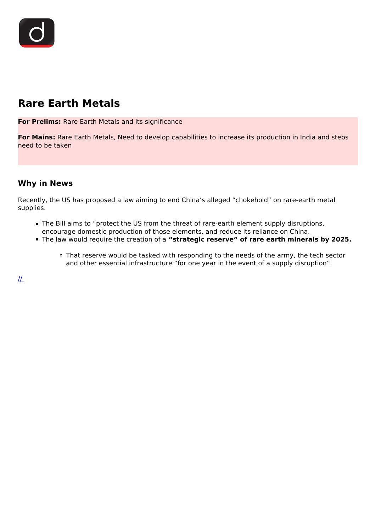

# **Rare Earth Metals**

**For Prelims:** Rare Earth Metals and its significance

**For Mains:** Rare Earth Metals, Need to develop capabilities to increase its production in India and steps need to be taken

## **Why in News**

Recently, the US has proposed a law aiming to end China's alleged "chokehold" on rare-earth metal supplies.

- The Bill aims to "protect the US from the threat of rare-earth element supply disruptions, encourage domestic production of those elements, and reduce its reliance on China.
- The law would require the creation of a **"strategic reserve" of rare earth minerals by 2025.**
	- That reserve would be tasked with responding to the needs of the army, the tech sector and other essential infrastructure "for one year in the event of a supply disruption".

 $I\!\!L$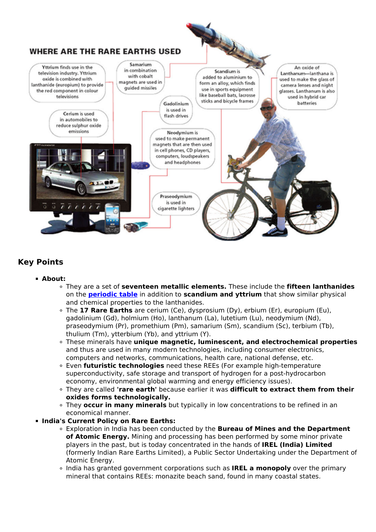

# **Key Points**

#### **About:**

- They are a set of **seventeen metallic elements.** These include the **fifteen lanthanides** on the **[periodic table](/daily-updates/daily-news-analysis/150-years-of-the-periodic-table)** in addition to **scandium and yttrium** that show similar physical and chemical properties to the lanthanides.
- The **17 Rare Earths** are cerium (Ce), dysprosium (Dy), erbium (Er), europium (Eu), gadolinium (Gd), holmium (Ho), lanthanum (La), lutetium (Lu), neodymium (Nd), praseodymium (Pr), promethium (Pm), samarium (Sm), scandium (Sc), terbium (Tb), thulium (Tm), ytterbium (Yb), and yttrium (Y).
- These minerals have **unique magnetic, luminescent, and electrochemical properties** and thus are used in many modern technologies, including consumer electronics, computers and networks, communications, health care, national defense, etc.
- Even **futuristic technologies** need these REEs (For example high-temperature superconductivity, safe storage and transport of hydrogen for a post-hydrocarbon economy, environmental global warming and energy efficiency issues).
- They are called **'rare earth'** because earlier it was **difficult to extract them from their oxides forms technologically.**
- They **occur in many minerals** but typically in low concentrations to be refined in an economical manner.

#### **India's Current Policy on Rare Earths:**

- Exploration in India has been conducted by the **Bureau of Mines and the Department of Atomic Energy.** Mining and processing has been performed by some minor private players in the past, but is today concentrated in the hands of **IREL (India) Limited** (formerly Indian Rare Earths Limited), a Public Sector Undertaking under the Department of Atomic Energy.
- India has granted government corporations such as **IREL a monopoly** over the primary mineral that contains REEs: monazite beach sand, found in many coastal states.